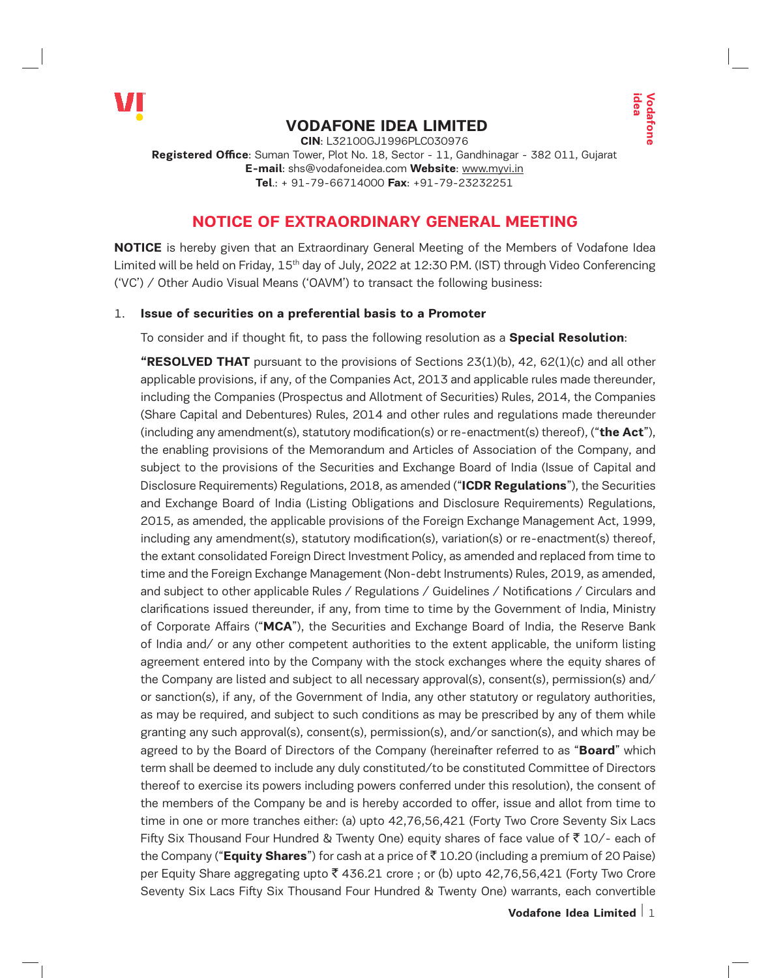

# **VODAFONE IDEA LIMITED**

**CIN**: L32100GJ1996PLC030976 **Registered Office**: Suman Tower, Plot No. 18, Sector - 11, Gandhinagar - 382 011, Gujarat **E-mail**: shs@vodafoneidea.com **Website**: www.myvi.in **Tel**.: + 91-79-66714000 **Fax**: +91-79-23232251

# **NOTICE OF EXTRAORDINARY GENERAL MEETING**

**NOTICE** is hereby given that an Extraordinary General Meeting of the Members of Vodafone Idea Limited will be held on Friday, 15<sup>th</sup> day of July, 2022 at 12:30 P.M. (IST) through Video Conferencing ('VC') / Other Audio Visual Means ('OAVM') to transact the following business:

## 1. **Issue of securities on a preferential basis to a Promoter**

To consider and if thought fit, to pass the following resolution as a **Special Resolution**:

**Example 12**<br> **Volvembers** of Vodafone Idea<br> **Vodeo Conferencing**<br> **MEETING**<br> **Members** of Vodafone Idea<br> **Momentary Video Conferencing**<br>
siness:<br> **Special Resolution:**<br>
2, 42, 62(1)(c) and all other<br>
able rules made ther **"RESOLVED THAT** pursuant to the provisions of Sections 23(1)(b), 42, 62(1)(c) and all other applicable provisions, if any, of the Companies Act, 2013 and applicable rules made thereunder, including the Companies (Prospectus and Allotment of Securities) Rules, 2014, the Companies (Share Capital and Debentures) Rules, 2014 and other rules and regulations made thereunder (including any amendment(s), statutory modification(s) or re-enactment(s) thereof), ("**the Act**"), the enabling provisions of the Memorandum and Articles of Association of the Company, and subject to the provisions of the Securities and Exchange Board of India (Issue of Capital and Disclosure Requirements) Regulations, 2018, as amended ("**ICDR Regulations**"), the Securities and Exchange Board of India (Listing Obligations and Disclosure Requirements) Regulations, 2015, as amended, the applicable provisions of the Foreign Exchange Management Act, 1999, including any amendment(s), statutory modification(s), variation(s) or re-enactment(s) thereof, the extant consolidated Foreign Direct Investment Policy, as amended and replaced from time to time and the Foreign Exchange Management (Non-debt Instruments) Rules, 2019, as amended, and subject to other applicable Rules / Regulations / Guidelines / Notifications / Circulars and clarifications issued thereunder, if any, from time to time by the Government of India, Ministry of Corporate Affairs ("**MCA**"), the Securities and Exchange Board of India, the Reserve Bank of India and/ or any other competent authorities to the extent applicable, the uniform listing agreement entered into by the Company with the stock exchanges where the equity shares of the Company are listed and subject to all necessary approval(s), consent(s), permission(s) and/ or sanction(s), if any, of the Government of India, any other statutory or regulatory authorities, as may be required, and subject to such conditions as may be prescribed by any of them while granting any such approval(s), consent(s), permission(s), and/or sanction(s), and which may be agreed to by the Board of Directors of the Company (hereinafter referred to as "**Board**" which term shall be deemed to include any duly constituted/to be constituted Committee of Directors thereof to exercise its powers including powers conferred under this resolution), the consent of the members of the Company be and is hereby accorded to offer, issue and allot from time to time in one or more tranches either: (a) upto 42,76,56,421 (Forty Two Crore Seventy Six Lacs Fifty Six Thousand Four Hundred & Twenty One) equity shares of face value of  $\bar{z}$  10/- each of the Company ("**Equity Shares**") for cash at a price of ` 10.20 (including a premium of 20 Paise) per Equity Share aggregating upto  $\bar{\tau}$  436.21 crore ; or (b) upto 42,76,56,421 (Forty Two Crore Seventy Six Lacs Fifty Six Thousand Four Hundred & Twenty One) warrants, each convertible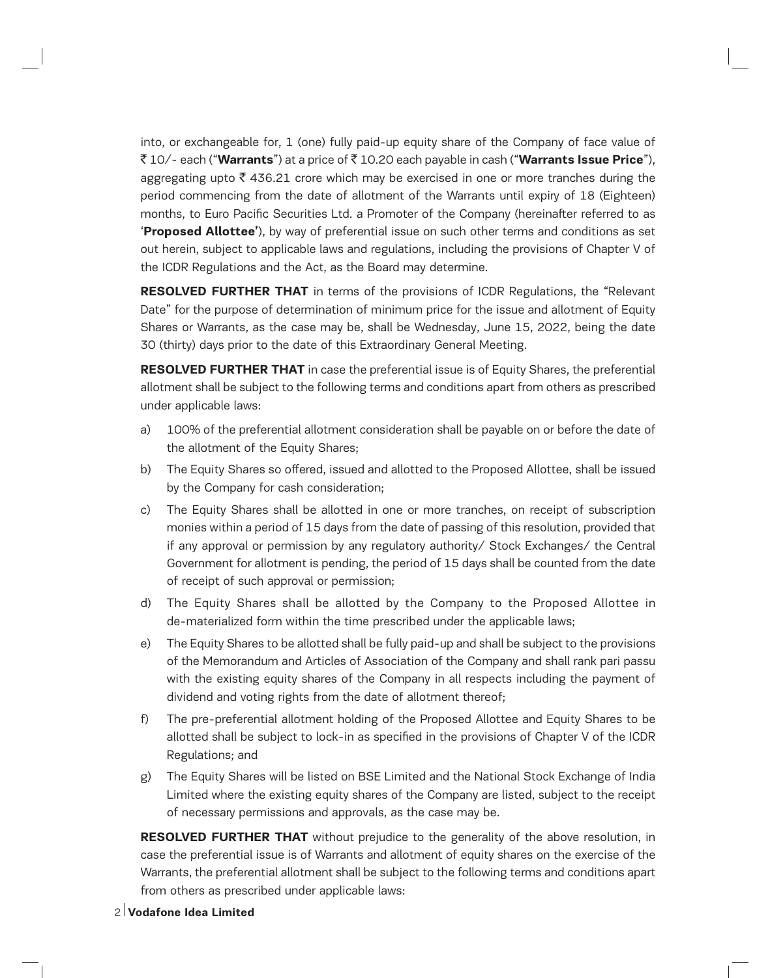into, or exchangeable for, 1 (one) fully paid-up equity share of the Company of face value of ` 10/- each ("**Warrants**") at a price of ` 10.20 each payable in cash ("**Warrants Issue Price**"), aggregating upto  $\bar{\tau}$  436.21 crore which may be exercised in one or more tranches during the period commencing from the date of allotment of the Warrants until expiry of 18 (Eighteen) months, to Euro Pacific Securities Ltd. a Promoter of the Company (hereinafter referred to as '**Proposed Allottee'**), by way of preferential issue on such other terms and conditions as set out herein, subject to applicable laws and regulations, including the provisions of Chapter V of the ICDR Regulations and the Act, as the Board may determine.

**RESOLVED FURTHER THAT** in terms of the provisions of ICDR Regulations, the "Relevant Date" for the purpose of determination of minimum price for the issue and allotment of Equity Shares or Warrants, as the case may be, shall be Wednesday, June 15, 2022, being the date 30 (thirty) days prior to the date of this Extraordinary General Meeting.

**RESOLVED FURTHER THAT** in case the preferential issue is of Equity Shares, the preferential allotment shall be subject to the following terms and conditions apart from others as prescribed under applicable laws:

- a) 100% of the preferential allotment consideration shall be payable on or before the date of the allotment of the Equity Shares;
- b) The Equity Shares so offered, issued and allotted to the Proposed Allottee, shall be issued by the Company for cash consideration;
- c) The Equity Shares shall be allotted in one or more tranches, on receipt of subscription monies within a period of 15 days from the date of passing of this resolution, provided that if any approval or permission by any regulatory authority/ Stock Exchanges/ the Central Government for allotment is pending, the period of 15 days shall be counted from the date of receipt of such approval or permission;
- d) The Equity Shares shall be allotted by the Company to the Proposed Allottee in de-materialized form within the time prescribed under the applicable laws;
- e) The Equity Shares to be allotted shall be fully paid-up and shall be subject to the provisions of the Memorandum and Articles of Association of the Company and shall rank pari passu with the existing equity shares of the Company in all respects including the payment of dividend and voting rights from the date of allotment thereof;
- f) The pre-preferential allotment holding of the Proposed Allottee and Equity Shares to be allotted shall be subject to lock-in as specified in the provisions of Chapter V of the ICDR Regulations; and
- g) The Equity Shares will be listed on BSE Limited and the National Stock Exchange of India Limited where the existing equity shares of the Company are listed, subject to the receipt of necessary permissions and approvals, as the case may be.

**RESOLVED FURTHER THAT** without prejudice to the generality of the above resolution, in case the preferential issue is of Warrants and allotment of equity shares on the exercise of the Warrants, the preferential allotment shall be subject to the following terms and conditions apart from others as prescribed under applicable laws: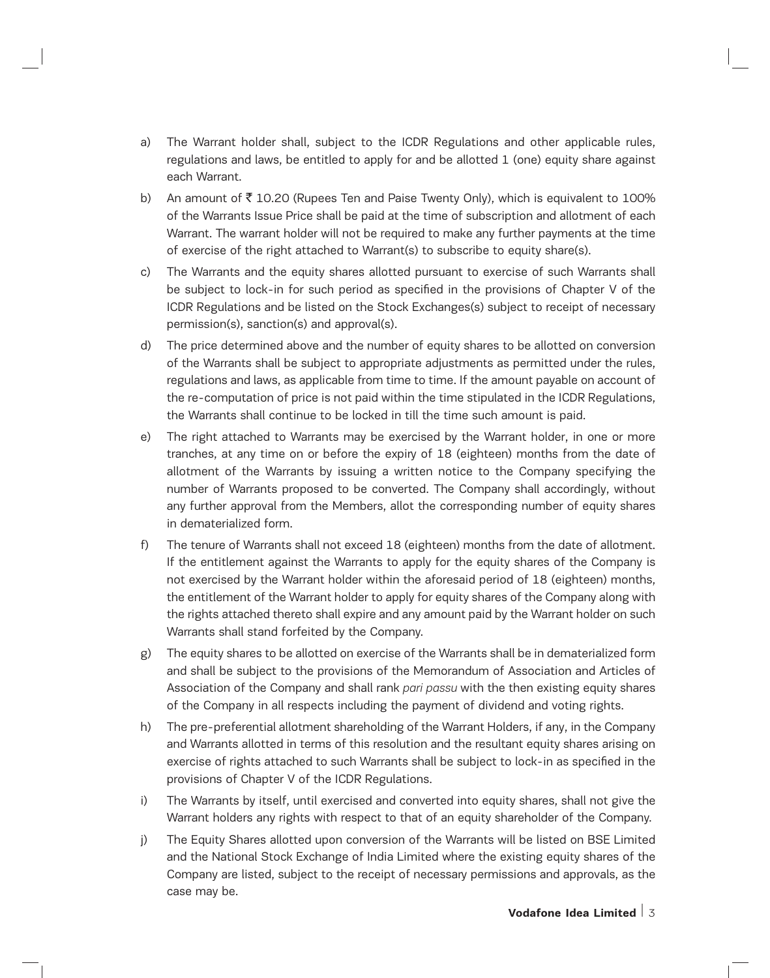- a) The Warrant holder shall, subject to the ICDR Regulations and other applicable rules, regulations and laws, be entitled to apply for and be allotted 1 (one) equity share against each Warrant.
- b) An amount of  $\bar{\tau}$  10.20 (Rupees Ten and Paise Twenty Only), which is equivalent to 100% of the Warrants Issue Price shall be paid at the time of subscription and allotment of each Warrant. The warrant holder will not be required to make any further payments at the time of exercise of the right attached to Warrant(s) to subscribe to equity share(s).
- c) The Warrants and the equity shares allotted pursuant to exercise of such Warrants shall be subject to lock-in for such period as specified in the provisions of Chapter V of the ICDR Regulations and be listed on the Stock Exchanges(s) subject to receipt of necessary permission(s), sanction(s) and approval(s).
- d) The price determined above and the number of equity shares to be allotted on conversion of the Warrants shall be subject to appropriate adjustments as permitted under the rules, regulations and laws, as applicable from time to time. If the amount payable on account of the re-computation of price is not paid within the time stipulated in the ICDR Regulations, the Warrants shall continue to be locked in till the time such amount is paid.
- e) The right attached to Warrants may be exercised by the Warrant holder, in one or more tranches, at any time on or before the expiry of 18 (eighteen) months from the date of allotment of the Warrants by issuing a written notice to the Company specifying the number of Warrants proposed to be converted. The Company shall accordingly, without any further approval from the Members, allot the corresponding number of equity shares in dematerialized form.
- f) The tenure of Warrants shall not exceed 18 (eighteen) months from the date of allotment. If the entitlement against the Warrants to apply for the equity shares of the Company is not exercised by the Warrant holder within the aforesaid period of 18 (eighteen) months, the entitlement of the Warrant holder to apply for equity shares of the Company along with the rights attached thereto shall expire and any amount paid by the Warrant holder on such Warrants shall stand forfeited by the Company.
- g) The equity shares to be allotted on exercise of the Warrants shall be in dematerialized form and shall be subject to the provisions of the Memorandum of Association and Articles of Association of the Company and shall rank *pari passu* with the then existing equity shares of the Company in all respects including the payment of dividend and voting rights.
- h) The pre-preferential allotment shareholding of the Warrant Holders, if any, in the Company and Warrants allotted in terms of this resolution and the resultant equity shares arising on exercise of rights attached to such Warrants shall be subject to lock-in as specified in the provisions of Chapter V of the ICDR Regulations.
- i) The Warrants by itself, until exercised and converted into equity shares, shall not give the Warrant holders any rights with respect to that of an equity shareholder of the Company.
- j) The Equity Shares allotted upon conversion of the Warrants will be listed on BSE Limited and the National Stock Exchange of India Limited where the existing equity shares of the Company are listed, subject to the receipt of necessary permissions and approvals, as the case may be.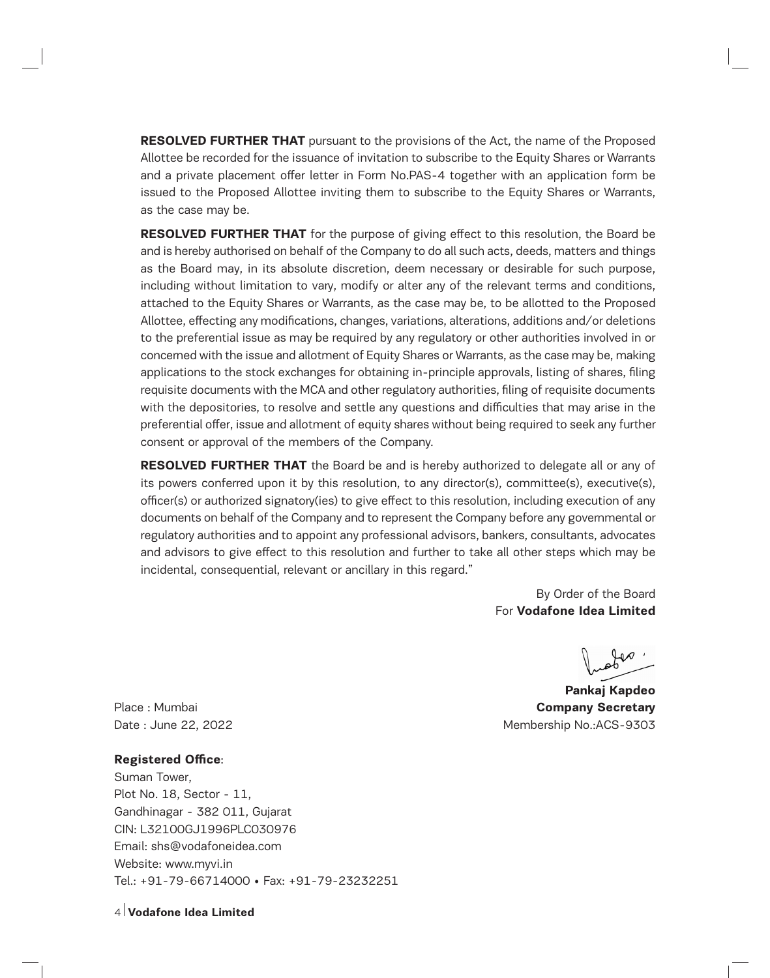**RESOLVED FURTHER THAT** pursuant to the provisions of the Act, the name of the Proposed Allottee be recorded for the issuance of invitation to subscribe to the Equity Shares or Warrants and a private placement offer letter in Form No.PAS-4 together with an application form be issued to the Proposed Allottee inviting them to subscribe to the Equity Shares or Warrants, as the case may be.

**RESOLVED FURTHER THAT** for the purpose of giving effect to this resolution, the Board be and is hereby authorised on behalf of the Company to do all such acts, deeds, matters and things as the Board may, in its absolute discretion, deem necessary or desirable for such purpose, including without limitation to vary, modify or alter any of the relevant terms and conditions, attached to the Equity Shares or Warrants, as the case may be, to be allotted to the Proposed Allottee, effecting any modifications, changes, variations, alterations, additions and/or deletions to the preferential issue as may be required by any regulatory or other authorities involved in or concerned with the issue and allotment of Equity Shares or Warrants, as the case may be, making applications to the stock exchanges for obtaining in-principle approvals, listing of shares, filing requisite documents with the MCA and other regulatory authorities, filing of requisite documents with the depositories, to resolve and settle any questions and difficulties that may arise in the preferential offer, issue and allotment of equity shares without being required to seek any further consent or approval of the members of the Company.

**RESOLVED FURTHER THAT** the Board be and is hereby authorized to delegate all or any of its powers conferred upon it by this resolution, to any director(s), committee(s), executive(s), officer(s) or authorized signatory(ies) to give effect to this resolution, including execution of any documents on behalf of the Company and to represent the Company before any governmental or regulatory authorities and to appoint any professional advisors, bankers, consultants, advocates and advisors to give effect to this resolution and further to take all other steps which may be incidental, consequential, relevant or ancillary in this regard."

> By Order of the Board For **Vodafone Idea Limited**

**Pankaj Kapdeo** Place : Mumbai **Company Secretary** Date : June 22, 2022 **Membership No.:ACS-9303** 

#### **Registered Office**:

Suman Tower, Plot No. 18, Sector - 11, Gandhinagar - 382 011, Gujarat CIN: L32100GJ1996PLC030976 Email: shs@vodafoneidea.com Website: www.myvi.in Tel.: +91-79-66714000 • Fax: +91-79-23232251

4 **Vodafone Idea Limited**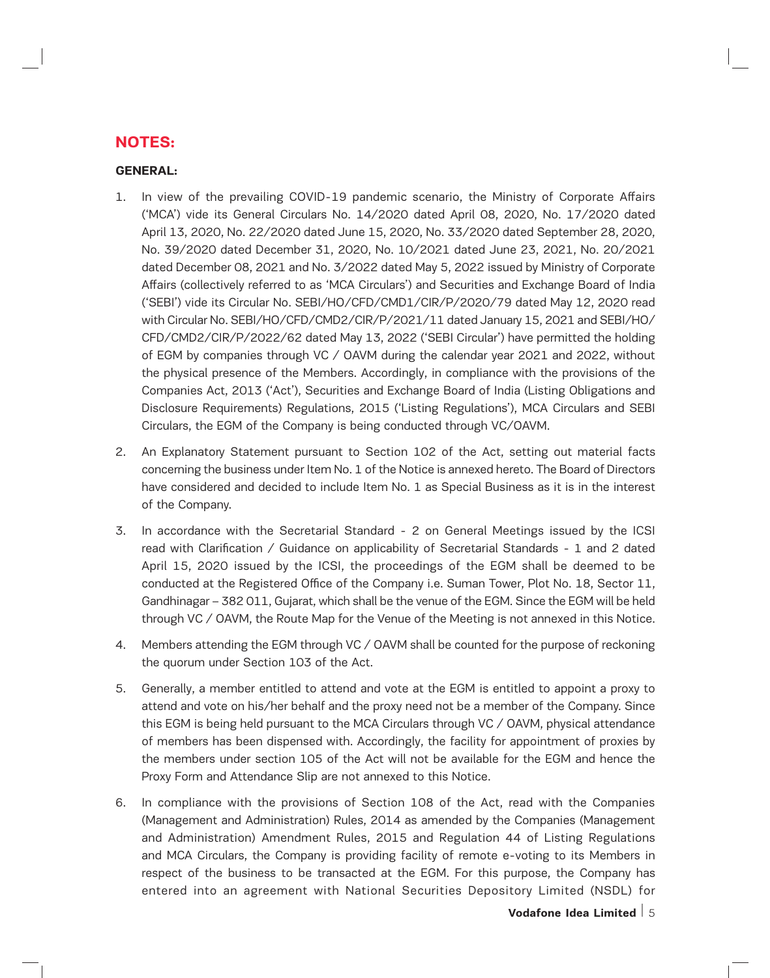# **NOTES:**

## **GENERAL:**

- 1. In view of the prevailing COVID-19 pandemic scenario, the Ministry of Corporate Affairs ('MCA') vide its General Circulars No. 14/2020 dated April 08, 2020, No. 17/2020 dated April 13, 2020, No. 22/2020 dated June 15, 2020, No. 33/2020 dated September 28, 2020, No. 39/2020 dated December 31, 2020, No. 10/2021 dated June 23, 2021, No. 20/2021 dated December 08, 2021 and No. 3/2022 dated May 5, 2022 issued by Ministry of Corporate Affairs (collectively referred to as 'MCA Circulars') and Securities and Exchange Board of India ('SEBI') vide its Circular No. SEBI/HO/CFD/CMD1/CIR/P/2020/79 dated May 12, 2020 read with Circular No. SEBI/HO/CFD/CMD2/CIR/P/2021/11 dated January 15, 2021 and SEBI/HO/ CFD/CMD2/CIR/P/2022/62 dated May 13, 2022 ('SEBI Circular') have permitted the holding of EGM by companies through VC / OAVM during the calendar year 2021 and 2022, without the physical presence of the Members. Accordingly, in compliance with the provisions of the Companies Act, 2013 ('Act'), Securities and Exchange Board of India (Listing Obligations and Disclosure Requirements) Regulations, 2015 ('Listing Regulations'), MCA Circulars and SEBI Circulars, the EGM of the Company is being conducted through VC/OAVM.
- 2. An Explanatory Statement pursuant to Section 102 of the Act, setting out material facts concerning the business under Item No. 1 of the Notice is annexed hereto. The Board of Directors have considered and decided to include Item No. 1 as Special Business as it is in the interest of the Company.
- 3. In accordance with the Secretarial Standard 2 on General Meetings issued by the ICSI read with Clarification / Guidance on applicability of Secretarial Standards - 1 and 2 dated April 15, 2020 issued by the ICSI, the proceedings of the EGM shall be deemed to be conducted at the Registered Office of the Company i.e. Suman Tower, Plot No. 18, Sector 11, Gandhinagar – 382 011, Gujarat, which shall be the venue of the EGM. Since the EGM will be held through VC / OAVM, the Route Map for the Venue of the Meeting is not annexed in this Notice.
- 4. Members attending the EGM through VC / OAVM shall be counted for the purpose of reckoning the quorum under Section 103 of the Act.
- 5. Generally, a member entitled to attend and vote at the EGM is entitled to appoint a proxy to attend and vote on his/her behalf and the proxy need not be a member of the Company. Since this EGM is being held pursuant to the MCA Circulars through VC / OAVM, physical attendance of members has been dispensed with. Accordingly, the facility for appointment of proxies by the members under section 105 of the Act will not be available for the EGM and hence the Proxy Form and Attendance Slip are not annexed to this Notice.
- 6. In compliance with the provisions of Section 108 of the Act, read with the Companies (Management and Administration) Rules, 2014 as amended by the Companies (Management and Administration) Amendment Rules, 2015 and Regulation 44 of Listing Regulations and MCA Circulars, the Company is providing facility of remote e-voting to its Members in respect of the business to be transacted at the EGM. For this purpose, the Company has entered into an agreement with National Securities Depository Limited (NSDL) for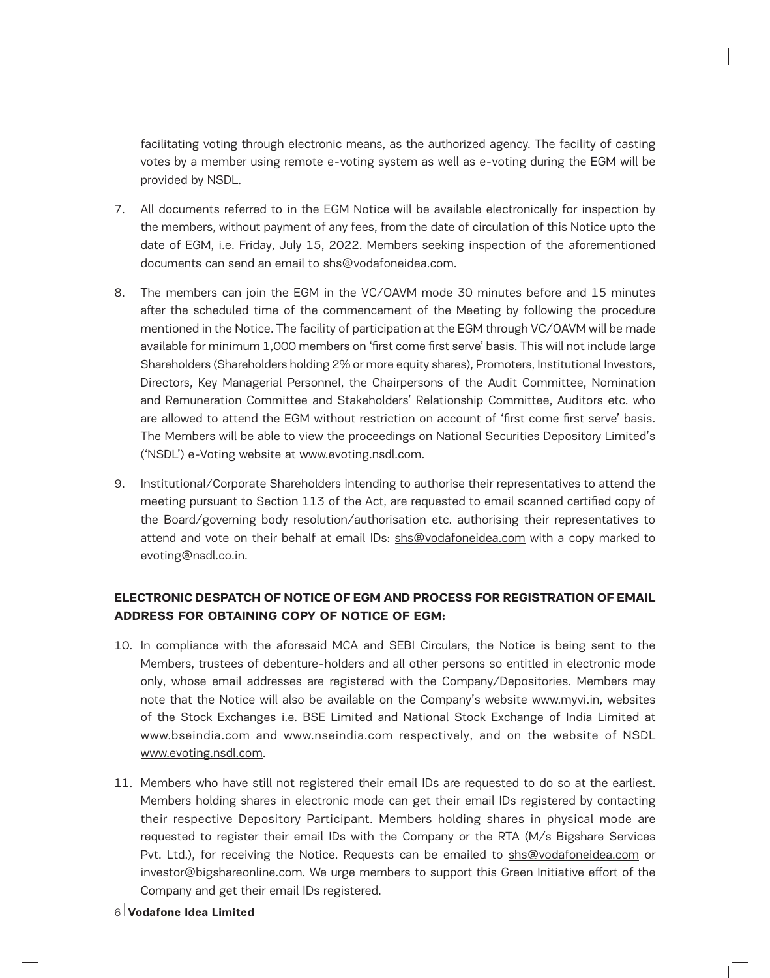facilitating voting through electronic means, as the authorized agency. The facility of casting votes by a member using remote e-voting system as well as e-voting during the EGM will be provided by NSDL.

- 7. All documents referred to in the EGM Notice will be available electronically for inspection by the members, without payment of any fees, from the date of circulation of this Notice upto the date of EGM, i.e. Friday, July 15, 2022. Members seeking inspection of the aforementioned documents can send an email to shs@vodafoneidea.com.
- 8. The members can join the EGM in the VC/OAVM mode 30 minutes before and 15 minutes after the scheduled time of the commencement of the Meeting by following the procedure mentioned in the Notice. The facility of participation at the EGM through VC/OAVM will be made available for minimum 1,000 members on 'first come first serve' basis. This will not include large Shareholders (Shareholders holding 2% or more equity shares), Promoters, Institutional Investors, Directors, Key Managerial Personnel, the Chairpersons of the Audit Committee, Nomination and Remuneration Committee and Stakeholders' Relationship Committee, Auditors etc. who are allowed to attend the EGM without restriction on account of 'first come first serve' basis. The Members will be able to view the proceedings on National Securities Depository Limited's ('NSDL') e-Voting website at www.evoting.nsdl.com.
- 9. Institutional/Corporate Shareholders intending to authorise their representatives to attend the meeting pursuant to Section 113 of the Act, are requested to email scanned certified copy of the Board/governing body resolution/authorisation etc. authorising their representatives to attend and vote on their behalf at email IDs: shs@vodafoneidea.com with a copy marked to evoting@nsdl.co.in.

# **ELECTRONIC DESPATCH OF NOTICE OF EGM AND PROCESS FOR REGISTRATION OF EMAIL ADDRESS FOR OBTAINING COPY OF NOTICE OF EGM:**

- 10. In compliance with the aforesaid MCA and SEBI Circulars, the Notice is being sent to the Members, trustees of debenture-holders and all other persons so entitled in electronic mode only, whose email addresses are registered with the Company/Depositories. Members may note that the Notice will also be available on the Company's website www.myvi.in, websites of the Stock Exchanges i.e. BSE Limited and National Stock Exchange of India Limited at www.bseindia.com and www.nseindia.com respectively, and on the website of NSDL www.evoting.nsdl.com.
- 11. Members who have still not registered their email IDs are requested to do so at the earliest. Members holding shares in electronic mode can get their email IDs registered by contacting their respective Depository Participant. Members holding shares in physical mode are requested to register their email IDs with the Company or the RTA (M/s Bigshare Services Pvt. Ltd.), for receiving the Notice. Requests can be emailed to shs@vodafoneidea.com or investor@bigshareonline.com. We urge members to support this Green Initiative effort of the Company and get their email IDs registered.
- 6 **Vodafone Idea Limited**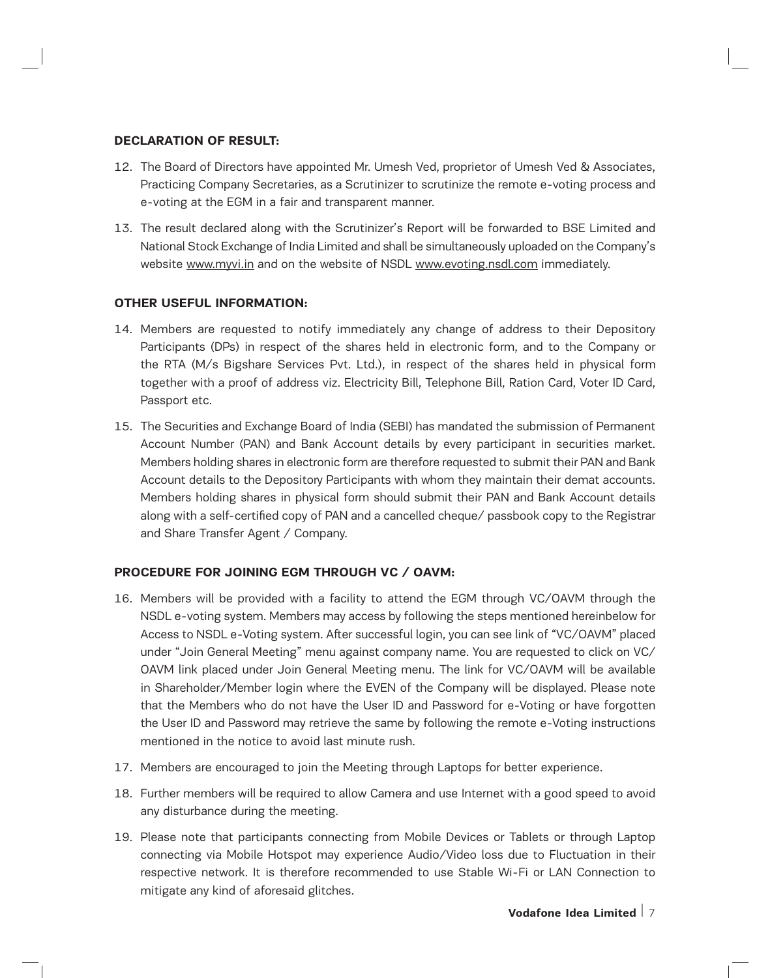#### **DECLARATION OF RESULT:**

- 12. The Board of Directors have appointed Mr. Umesh Ved, proprietor of Umesh Ved & Associates, Practicing Company Secretaries, as a Scrutinizer to scrutinize the remote e-voting process and e-voting at the EGM in a fair and transparent manner.
- 13. The result declared along with the Scrutinizer's Report will be forwarded to BSE Limited and National Stock Exchange of India Limited and shall be simultaneously uploaded on the Company's website www.myvi.in and on the website of NSDL www.evoting.nsdl.com immediately.

## **OTHER USEFUL INFORMATION:**

- 14. Members are requested to notify immediately any change of address to their Depository Participants (DPs) in respect of the shares held in electronic form, and to the Company or the RTA (M/s Bigshare Services Pvt. Ltd.), in respect of the shares held in physical form together with a proof of address viz. Electricity Bill, Telephone Bill, Ration Card, Voter ID Card, Passport etc.
- 15. The Securities and Exchange Board of India (SEBI) has mandated the submission of Permanent Account Number (PAN) and Bank Account details by every participant in securities market. Members holding shares in electronic form are therefore requested to submit their PAN and Bank Account details to the Depository Participants with whom they maintain their demat accounts. Members holding shares in physical form should submit their PAN and Bank Account details along with a self-certified copy of PAN and a cancelled cheque/ passbook copy to the Registrar and Share Transfer Agent / Company.

## **PROCEDURE FOR JOINING EGM THROUGH VC / OAVM:**

- 16. Members will be provided with a facility to attend the EGM through VC/OAVM through the NSDL e-voting system. Members may access by following the steps mentioned hereinbelow for Access to NSDL e-Voting system. After successful login, you can see link of "VC/OAVM" placed under "Join General Meeting" menu against company name. You are requested to click on VC/ OAVM link placed under Join General Meeting menu. The link for VC/OAVM will be available in Shareholder/Member login where the EVEN of the Company will be displayed. Please note that the Members who do not have the User ID and Password for e-Voting or have forgotten the User ID and Password may retrieve the same by following the remote e-Voting instructions mentioned in the notice to avoid last minute rush.
- 17. Members are encouraged to join the Meeting through Laptops for better experience.
- 18. Further members will be required to allow Camera and use Internet with a good speed to avoid any disturbance during the meeting.
- 19. Please note that participants connecting from Mobile Devices or Tablets or through Laptop connecting via Mobile Hotspot may experience Audio/Video loss due to Fluctuation in their respective network. It is therefore recommended to use Stable Wi-Fi or LAN Connection to mitigate any kind of aforesaid glitches.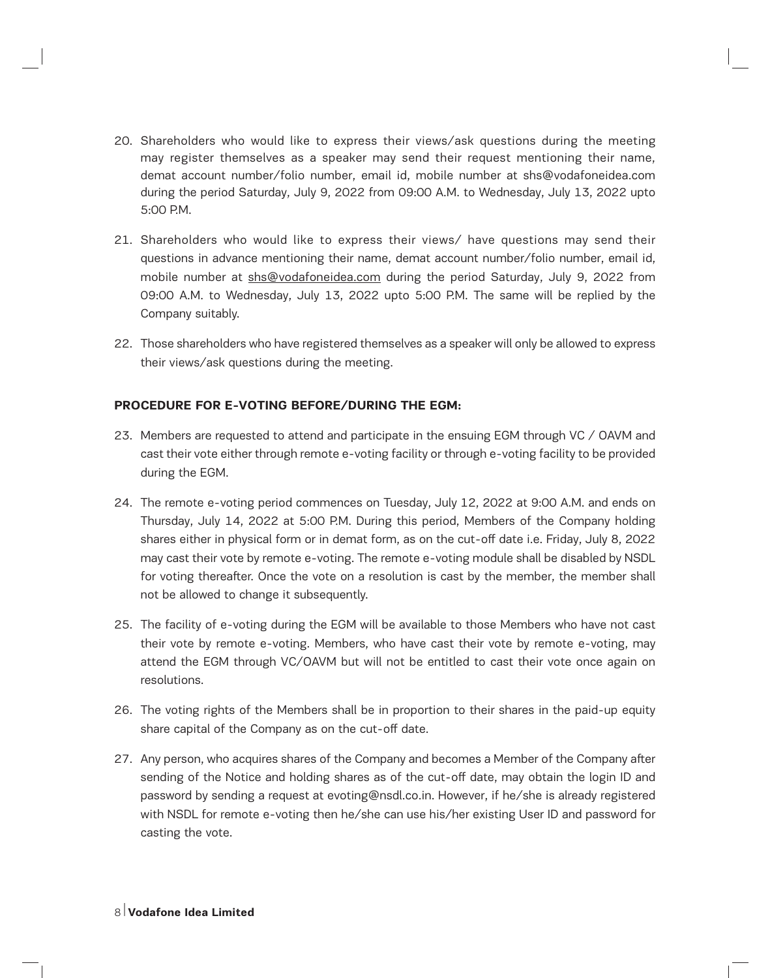- 20. Shareholders who would like to express their views/ask questions during the meeting may register themselves as a speaker may send their request mentioning their name, demat account number/folio number, email id, mobile number at shs@vodafoneidea.com during the period Saturday, July 9, 2022 from 09:00 A.M. to Wednesday, July 13, 2022 upto  $5:00 \text{ PM}$
- 21. Shareholders who would like to express their views/ have questions may send their questions in advance mentioning their name, demat account number/folio number, email id, mobile number at shs@vodafoneidea.com during the period Saturday, July 9, 2022 from 09:00 A.M. to Wednesday, July 13, 2022 upto 5:00 P.M. The same will be replied by the Company suitably.
- 22. Those shareholders who have registered themselves as a speaker will only be allowed to express their views/ask questions during the meeting.

## **PROCEDURE FOR E-VOTING BEFORE/DURING THE EGM:**

- 23. Members are requested to attend and participate in the ensuing EGM through VC / OAVM and cast their vote either through remote e-voting facility or through e-voting facility to be provided during the EGM.
- 24. The remote e-voting period commences on Tuesday, July 12, 2022 at 9:00 A.M. and ends on Thursday, July 14, 2022 at 5:00 P.M. During this period, Members of the Company holding shares either in physical form or in demat form, as on the cut-off date i.e. Friday, July 8, 2022 may cast their vote by remote e-voting. The remote e-voting module shall be disabled by NSDL for voting thereafter. Once the vote on a resolution is cast by the member, the member shall not be allowed to change it subsequently.
- 25. The facility of e-voting during the EGM will be available to those Members who have not cast their vote by remote e-voting. Members, who have cast their vote by remote e-voting, may attend the EGM through VC/OAVM but will not be entitled to cast their vote once again on resolutions.
- 26. The voting rights of the Members shall be in proportion to their shares in the paid-up equity share capital of the Company as on the cut-off date.
- 27. Any person, who acquires shares of the Company and becomes a Member of the Company after sending of the Notice and holding shares as of the cut-off date, may obtain the login ID and password by sending a request at evoting@nsdl.co.in. However, if he/she is already registered with NSDL for remote e-voting then he/she can use his/her existing User ID and password for casting the vote.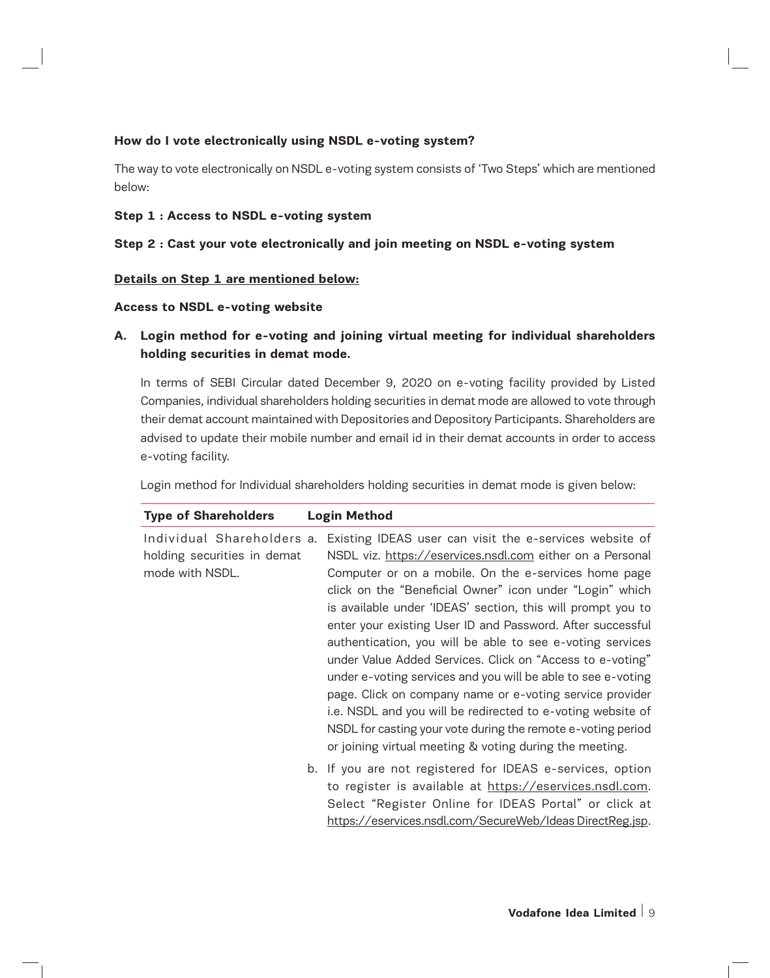## **How do I vote electronically using NSDL e-voting system?**

The way to vote electronically on NSDL e-voting system consists of 'Two Steps' which are mentioned below:

#### **Step 1 : Access to NSDL e-voting system**

#### **Step 2 : Cast your vote electronically and join meeting on NSDL e-voting system**

#### **Details on Step 1 are mentioned below:**

#### **Access to NSDL e-voting website**

# **A. Login method for e-voting and joining virtual meeting for individual shareholders holding securities in demat mode.**

In terms of SEBI Circular dated December 9, 2020 on e-voting facility provided by Listed Companies, individual shareholders holding securities in demat mode are allowed to vote through their demat account maintained with Depositories and Depository Participants. Shareholders are advised to update their mobile number and email id in their demat accounts in order to access e-voting facility.

Login method for Individual shareholders holding securities in demat mode is given below:

| <b>Type of Shareholders</b>                                                  | <b>Login Method</b>                                                                                                                                                                                                                                                                                                                                                                                                                                                                                                                                                                                                                                                                                                                                                                                                   |
|------------------------------------------------------------------------------|-----------------------------------------------------------------------------------------------------------------------------------------------------------------------------------------------------------------------------------------------------------------------------------------------------------------------------------------------------------------------------------------------------------------------------------------------------------------------------------------------------------------------------------------------------------------------------------------------------------------------------------------------------------------------------------------------------------------------------------------------------------------------------------------------------------------------|
| Individual Shareholders a.<br>holding securities in demat<br>mode with NSDL. | Existing IDEAS user can visit the e-services website of<br>NSDL viz. https://eservices.nsdl.com either on a Personal<br>Computer or on a mobile. On the e-services home page<br>click on the "Beneficial Owner" icon under "Login" which<br>is available under 'IDEAS' section, this will prompt you to<br>enter your existing User ID and Password. After successful<br>authentication, you will be able to see e-voting services<br>under Value Added Services. Click on "Access to e-voting"<br>under e-voting services and you will be able to see e-voting<br>page. Click on company name or e-voting service provider<br>i.e. NSDL and you will be redirected to e-voting website of<br>NSDL for casting your vote during the remote e-voting period<br>or joining virtual meeting & voting during the meeting. |
|                                                                              | b. If you are not registered for IDEAS e-services, option<br>to register is available at https://eservices.nsdl.com.<br>Select "Register Online for IDEAS Portal" or click at<br>https://eservices.nsdl.com/SecureWeb/Ideas DirectReg.jsp.                                                                                                                                                                                                                                                                                                                                                                                                                                                                                                                                                                            |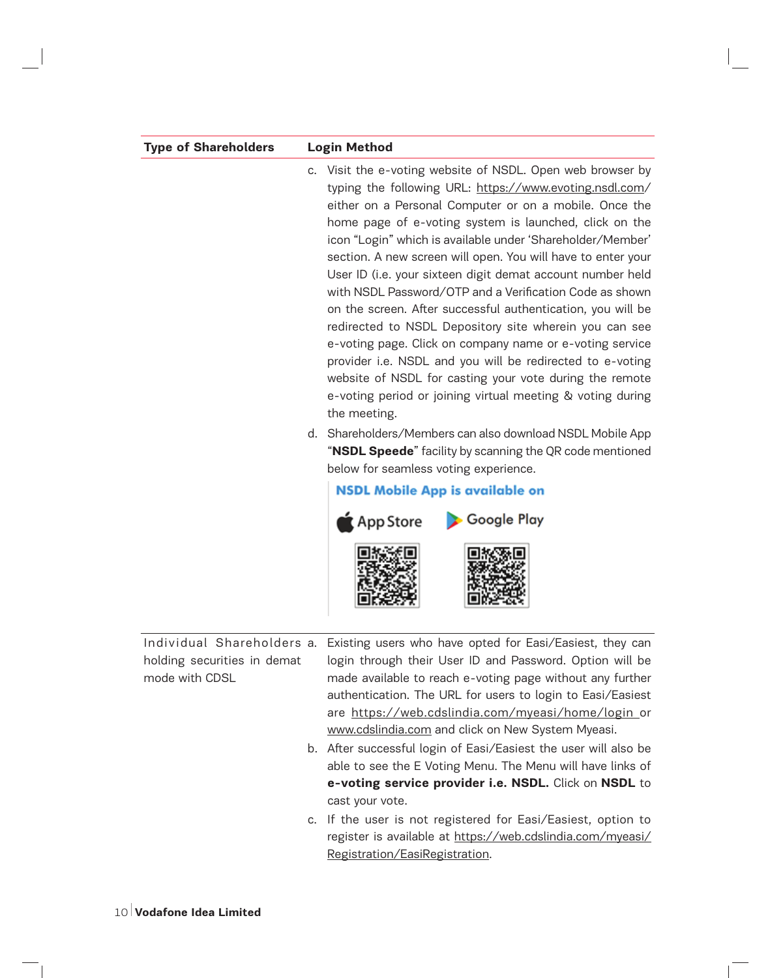| <b>Type of Shareholders</b>                   | <b>Login Method</b>                                                                                                                                                                                                                                                                                                                                                                                                                                                                                                                                                                                                                                                                                                                                                                                                                                                                         |  |  |  |
|-----------------------------------------------|---------------------------------------------------------------------------------------------------------------------------------------------------------------------------------------------------------------------------------------------------------------------------------------------------------------------------------------------------------------------------------------------------------------------------------------------------------------------------------------------------------------------------------------------------------------------------------------------------------------------------------------------------------------------------------------------------------------------------------------------------------------------------------------------------------------------------------------------------------------------------------------------|--|--|--|
|                                               | c. Visit the e-voting website of NSDL. Open web browser by<br>typing the following URL: https://www.evoting.nsdl.com/<br>either on a Personal Computer or on a mobile. Once the<br>home page of e-voting system is launched, click on the<br>icon "Login" which is available under 'Shareholder/Member'<br>section. A new screen will open. You will have to enter your<br>User ID (i.e. your sixteen digit demat account number held<br>with NSDL Password/OTP and a Verification Code as shown<br>on the screen. After successful authentication, you will be<br>redirected to NSDL Depository site wherein you can see<br>e-voting page. Click on company name or e-voting service<br>provider i.e. NSDL and you will be redirected to e-voting<br>website of NSDL for casting your vote during the remote<br>e-voting period or joining virtual meeting & voting during<br>the meeting. |  |  |  |
|                                               | d. Shareholders/Members can also download NSDL Mobile App<br>"NSDL Speede" facility by scanning the QR code mentioned<br>below for seamless voting experience.<br><b>NSDL Mobile App is available on</b><br>App Store Coogle Play                                                                                                                                                                                                                                                                                                                                                                                                                                                                                                                                                                                                                                                           |  |  |  |
| holding securities in demat<br>mode with CDSL | Individual Shareholders a. Existing users who have opted for Easi/Easiest, they can<br>login through their User ID and Password. Option will be<br>made available to reach e-voting page without any further<br>authentication. The URL for users to login to Easi/Easiest<br>are https://web.cdslindia.com/myeasi/home/login_or<br>www.cdslindia.com and click on New System Myeasi.<br>b. After successful login of Easi/Easiest the user will also be<br>able to see the E Voting Menu. The Menu will have links of<br>e-voting service provider i.e. NSDL. Click on NSDL to<br>cast your vote.                                                                                                                                                                                                                                                                                          |  |  |  |
|                                               | c. If the user is not registered for Easi/Easiest, option to<br>register is available at https://web.cdslindia.com/myeasi/<br>Registration/EasiRegistration.                                                                                                                                                                                                                                                                                                                                                                                                                                                                                                                                                                                                                                                                                                                                |  |  |  |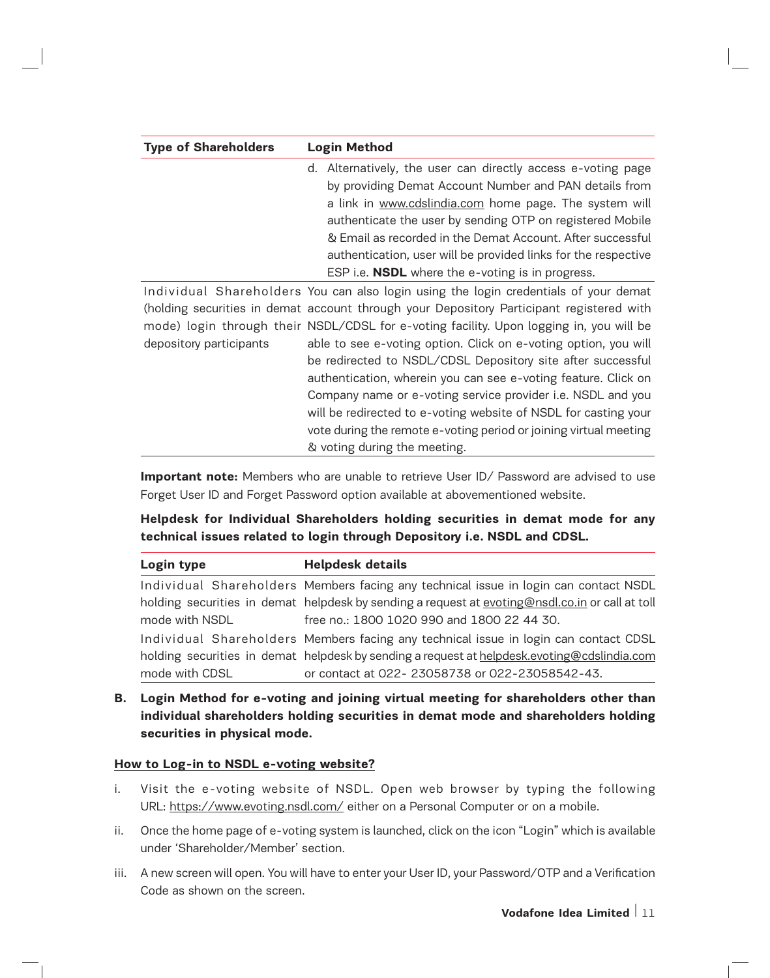| <b>Type of Shareholders</b> | <b>Login Method</b>                                            |
|-----------------------------|----------------------------------------------------------------|
|                             | d. Alternatively, the user can directly access e-voting page   |
|                             | by providing Demat Account Number and PAN details from         |
|                             | a link in www.cdslindia.com home page. The system will         |
|                             | authenticate the user by sending OTP on registered Mobile      |
|                             | & Email as recorded in the Demat Account. After successful     |
|                             | authentication, user will be provided links for the respective |
|                             | ESP i.e. <b>NSDL</b> where the e-voting is in progress.        |

Individual Shareholders You can also login using the login credentials of your demat (holding securities in demat account through your Depository Participant registered with mode) login through their NSDL/CDSL for e-voting facility. Upon logging in, you will be depository participants able to see e-voting option. Click on e-voting option, you will be redirected to NSDL/CDSL Depository site after successful authentication, wherein you can see e-voting feature. Click on Company name or e-voting service provider i.e. NSDL and you will be redirected to e-voting website of NSDL for casting your vote during the remote e-voting period or joining virtual meeting & voting during the meeting.

**Important note:** Members who are unable to retrieve User ID/ Password are advised to use Forget User ID and Forget Password option available at abovementioned website.

## **Helpdesk for Individual Shareholders holding securities in demat mode for any technical issues related to login through Depository i.e. NSDL and CDSL.**

| Login type     | <b>Helpdesk details</b>                                                                         |  |  |
|----------------|-------------------------------------------------------------------------------------------------|--|--|
|                | Individual Shareholders Members facing any technical issue in login can contact NSDL            |  |  |
|                | holding securities in demat helpdesk by sending a request at evoting@nsdl.co.in or call at toll |  |  |
| mode with NSDL | free no.: 1800 1020 990 and 1800 22 44 30.                                                      |  |  |
|                | Individual Shareholders Members facing any technical issue in login can contact CDSL            |  |  |
|                | holding securities in demat helpdesk by sending a request at helpdesk.evoting@cdslindia.com     |  |  |
| mode with CDSL | or contact at 022-23058738 or 022-23058542-43.                                                  |  |  |

**B. Login Method for e-voting and joining virtual meeting for shareholders other than individual shareholders holding securities in demat mode and shareholders holding securities in physical mode.**

#### **How to Log-in to NSDL e-voting website?**

- i. Visit the e-voting website of NSDL. Open web browser by typing the following URL: https://www.evoting.nsdl.com/ either on a Personal Computer or on a mobile.
- ii. Once the home page of e-voting system is launched, click on the icon "Login" which is available under 'Shareholder/Member' section.
- iii. A new screen will open. You will have to enter your User ID, your Password/OTP and a Verification Code as shown on the screen.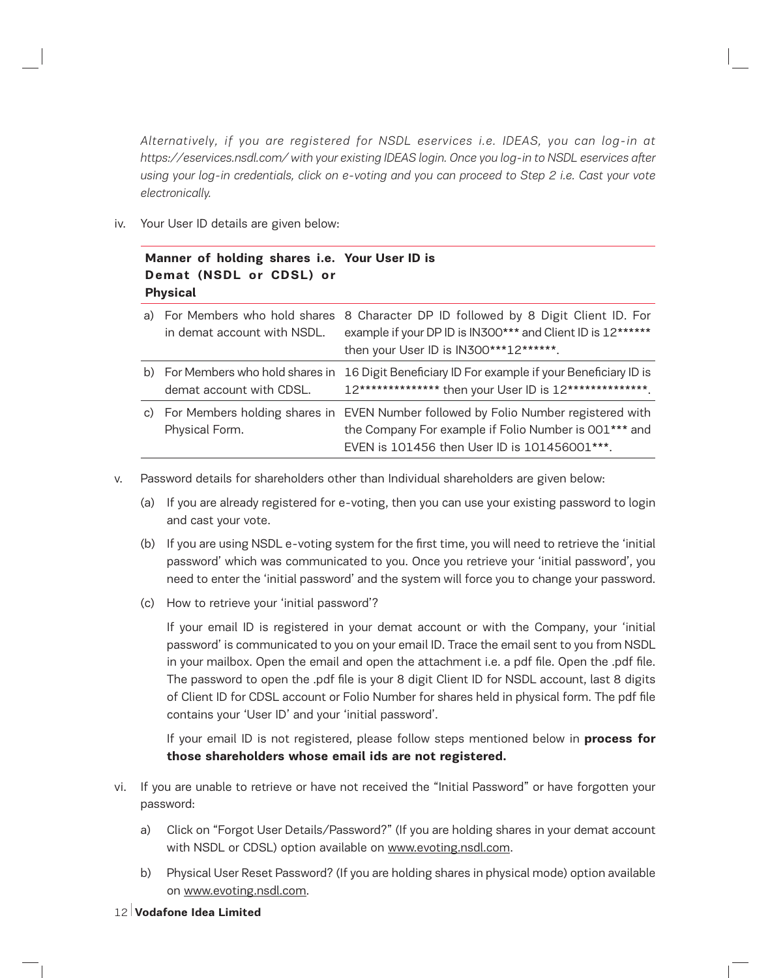*Alternatively, if you are registered for NSDL eservices i.e. IDEAS, you can log-in at https://eservices.nsdl.com/ with your existing IDEAS login. Once you log-in to NSDL eservices after using your log-in credentials, click on e-voting and you can proceed to Step 2 i.e. Cast your vote electronically.*

iv. Your User ID details are given below:

## **Manner of holding shares i.e. Your User ID is Demat (NSDL or CDSL) or Physical**

| in demat account with NSDL. | a) For Members who hold shares 8 Character DP ID followed by 8 Digit Client ID. For<br>example if your DP ID is IN300*** and Client ID is 12******<br>then your User ID is IN300***12******.   |
|-----------------------------|------------------------------------------------------------------------------------------------------------------------------------------------------------------------------------------------|
| demat account with CDSL.    | b) For Members who hold shares in 16 Digit Beneficiary ID For example if your Beneficiary ID is<br>12************** then your User ID is 12***************.                                    |
| Physical Form.              | c) For Members holding shares in EVEN Number followed by Folio Number registered with<br>the Company For example if Folio Number is 001*** and<br>EVEN is 101456 then User ID is 101456001***. |

- v. Password details for shareholders other than Individual shareholders are given below:
	- (a) If you are already registered for e-voting, then you can use your existing password to login and cast your vote.
	- (b) If you are using NSDL e-voting system for the first time, you will need to retrieve the 'initial password' which was communicated to you. Once you retrieve your 'initial password', you need to enter the 'initial password' and the system will force you to change your password.
	- (c) How to retrieve your 'initial password'?

If your email ID is registered in your demat account or with the Company, your 'initial password' is communicated to you on your email ID. Trace the email sent to you from NSDL in your mailbox. Open the email and open the attachment i.e. a pdf file. Open the .pdf file. The password to open the .pdf file is your 8 digit Client ID for NSDL account, last 8 digits of Client ID for CDSL account or Folio Number for shares held in physical form. The pdf file contains your 'User ID' and your 'initial password'.

If your email ID is not registered, please follow steps mentioned below in **process for those shareholders whose email ids are not registered.**

- vi. If you are unable to retrieve or have not received the "Initial Password" or have forgotten your password:
	- a) Click on "Forgot User Details/Password?" (If you are holding shares in your demat account with NSDL or CDSL) option available on www.evoting.nsdl.com.
	- b) Physical User Reset Password? (If you are holding shares in physical mode) option available on www.evoting.nsdl.com.
- 12 **Vodafone Idea Limited**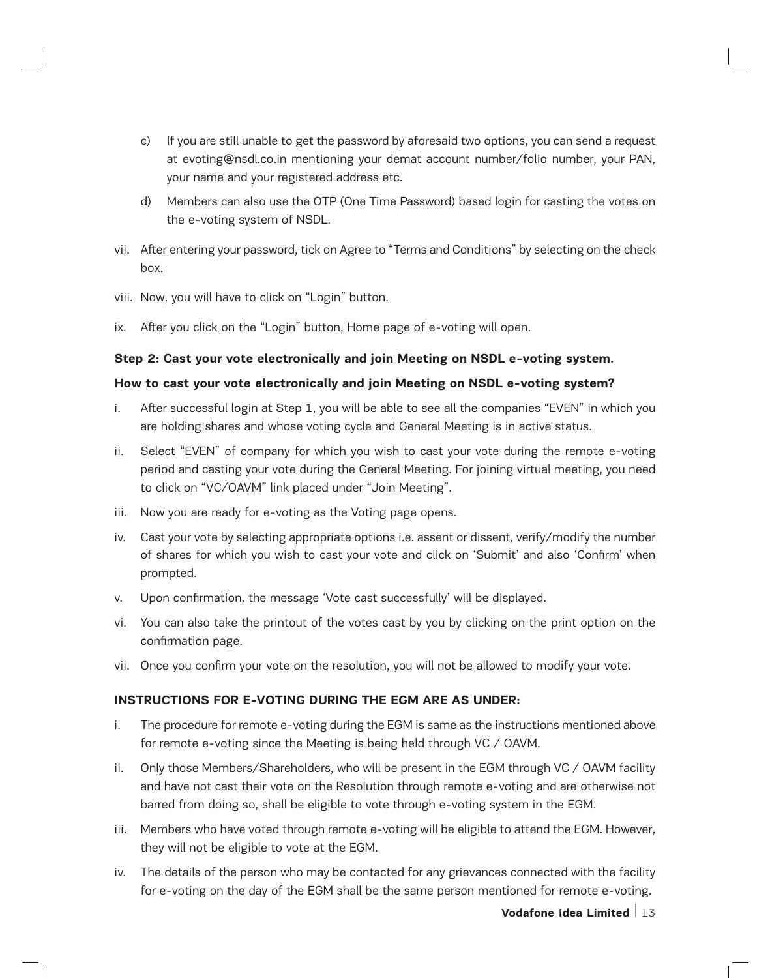- c) If you are still unable to get the password by aforesaid two options, you can send a request at evoting@nsdl.co.in mentioning your demat account number/folio number, your PAN, your name and your registered address etc.
- d) Members can also use the OTP (One Time Password) based login for casting the votes on the e-voting system of NSDL.
- vii. After entering your password, tick on Agree to "Terms and Conditions" by selecting on the check box.
- viii. Now, you will have to click on "Login" button.
- ix. After you click on the "Login" button, Home page of e-voting will open.

## **Step 2: Cast your vote electronically and join Meeting on NSDL e-voting system.**

## **How to cast your vote electronically and join Meeting on NSDL e-voting system?**

- i. After successful login at Step 1, you will be able to see all the companies "EVEN" in which you are holding shares and whose voting cycle and General Meeting is in active status.
- ii. Select "EVEN" of company for which you wish to cast your vote during the remote e-voting period and casting your vote during the General Meeting. For joining virtual meeting, you need to click on "VC/OAVM" link placed under "Join Meeting".
- iii. Now you are ready for e-voting as the Voting page opens.
- iv. Cast your vote by selecting appropriate options i.e. assent or dissent, verify/modify the number of shares for which you wish to cast your vote and click on 'Submit' and also 'Confirm' when prompted.
- v. Upon confirmation, the message 'Vote cast successfully' will be displayed.
- vi. You can also take the printout of the votes cast by you by clicking on the print option on the confirmation page.
- vii. Once you confirm your vote on the resolution, you will not be allowed to modify your vote.

## **INSTRUCTIONS FOR E-VOTING DURING THE EGM ARE AS UNDER:**

- i. The procedure for remote e-voting during the EGM is same as the instructions mentioned above for remote e-voting since the Meeting is being held through VC / OAVM.
- ii. Only those Members/Shareholders, who will be present in the EGM through VC / OAVM facility and have not cast their vote on the Resolution through remote e-voting and are otherwise not barred from doing so, shall be eligible to vote through e-voting system in the EGM.
- iii. Members who have voted through remote e-voting will be eligible to attend the EGM. However, they will not be eligible to vote at the EGM.
- iv. The details of the person who may be contacted for any grievances connected with the facility for e-voting on the day of the EGM shall be the same person mentioned for remote e-voting.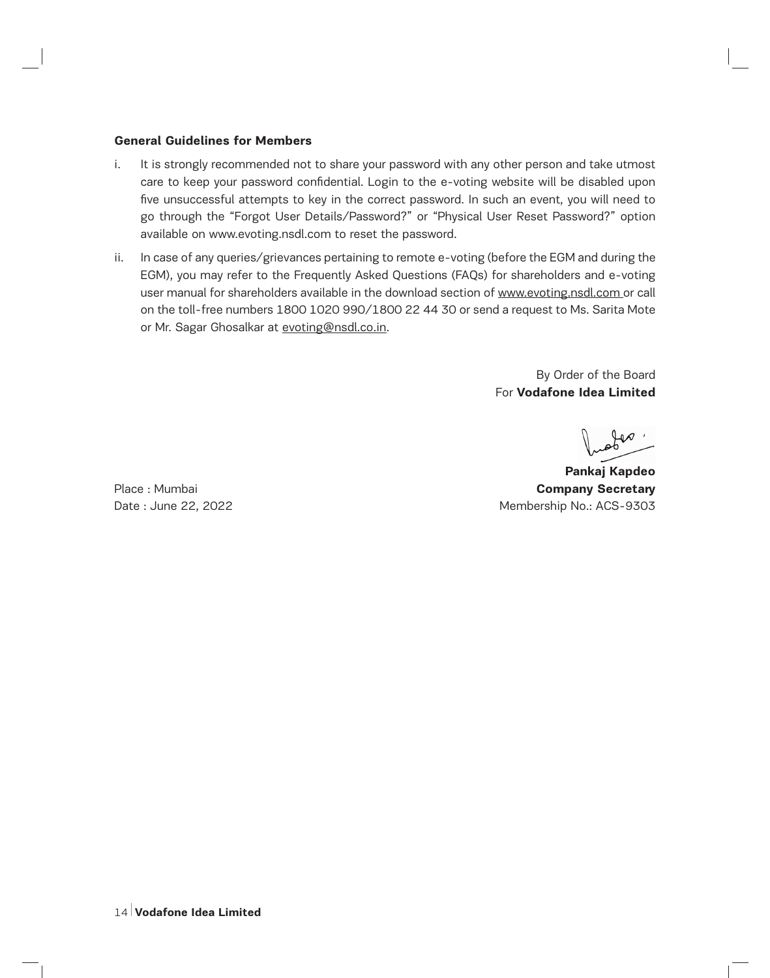#### **General Guidelines for Members**

- i. It is strongly recommended not to share your password with any other person and take utmost care to keep your password confidential. Login to the e-voting website will be disabled upon five unsuccessful attempts to key in the correct password. In such an event, you will need to go through the "Forgot User Details/Password?" or "Physical User Reset Password?" option available on www.evoting.nsdl.com to reset the password.
- ii. In case of any queries/grievances pertaining to remote e-voting (before the EGM and during the EGM), you may refer to the Frequently Asked Questions (FAQs) for shareholders and e-voting user manual for shareholders available in the download section of www.evoting.nsdl.com or call on the toll-free numbers 1800 1020 990/1800 22 44 30 or send a request to Ms. Sarita Mote or Mr. Sagar Ghosalkar at evoting@nsdl.co.in.

By Order of the Board For **Vodafone Idea Limited**

**Pankaj Kapdeo** Place : Mumbai **Company Secretary** Date : June 22, 2022 2008 1200 2009 2009 2009 12:00 Membership No.: ACS-9303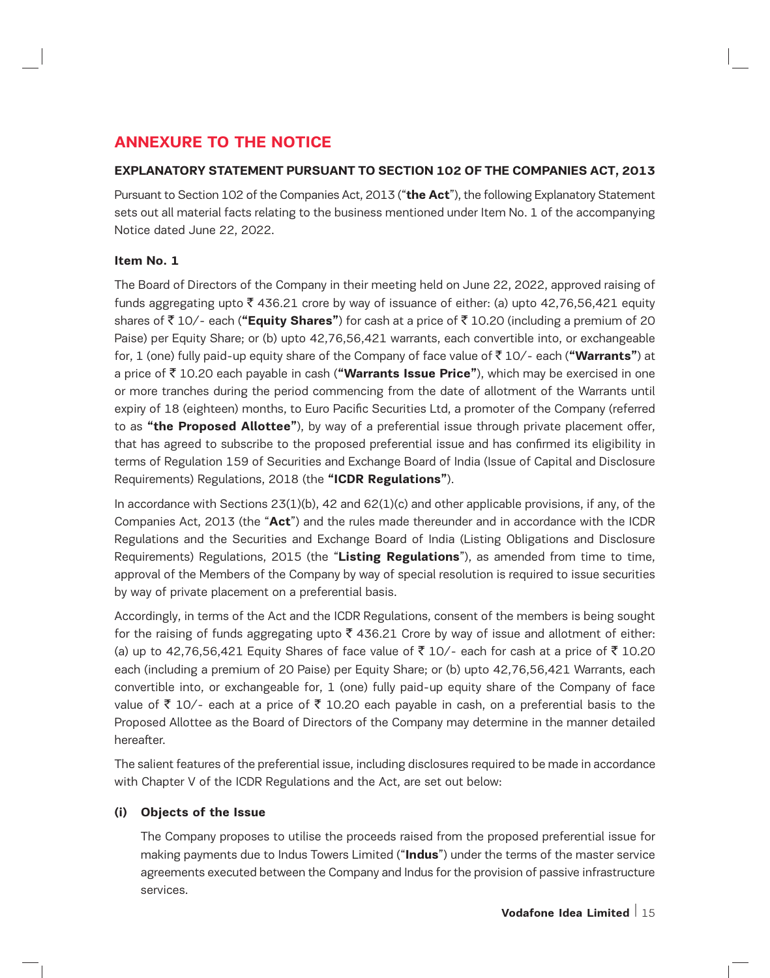# **ANNEXURE TO THE NOTICE**

## **EXPLANATORY STATEMENT PURSUANT TO SECTION 102 OF THE COMPANIES ACT, 2013**

Pursuant to Section 102 of the Companies Act, 2013 ("**the Act**"), the following Explanatory Statement sets out all material facts relating to the business mentioned under Item No. 1 of the accompanying Notice dated June 22, 2022.

## **Item No. 1**

The Board of Directors of the Company in their meeting held on June 22, 2022, approved raising of funds aggregating upto  $\bar{z}$  436.21 crore by way of issuance of either: (a) upto 42,76,56,421 equity shares of ₹ 10/- each ("**Equity Shares"**) for cash at a price of ₹ 10.20 (including a premium of 20 Paise) per Equity Share; or (b) upto 42,76,56,421 warrants, each convertible into, or exchangeable for, 1 (one) fully paid-up equity share of the Company of face value of ` 10/- each (**"Warrants"**) at a price of ` 10.20 each payable in cash (**"Warrants Issue Price"**), which may be exercised in one or more tranches during the period commencing from the date of allotment of the Warrants until expiry of 18 (eighteen) months, to Euro Pacific Securities Ltd, a promoter of the Company (referred to as **"the Proposed Allottee"**), by way of a preferential issue through private placement offer, that has agreed to subscribe to the proposed preferential issue and has confirmed its eligibility in terms of Regulation 159 of Securities and Exchange Board of India (Issue of Capital and Disclosure Requirements) Regulations, 2018 (the **"ICDR Regulations"**).

In accordance with Sections  $23(1)(b)$ , 42 and  $62(1)(c)$  and other applicable provisions, if any, of the Companies Act, 2013 (the "**Act**") and the rules made thereunder and in accordance with the ICDR Regulations and the Securities and Exchange Board of India (Listing Obligations and Disclosure Requirements) Regulations, 2015 (the "**Listing Regulations**"), as amended from time to time, approval of the Members of the Company by way of special resolution is required to issue securities by way of private placement on a preferential basis.

Accordingly, in terms of the Act and the ICDR Regulations, consent of the members is being sought for the raising of funds aggregating upto  $\bar{\tau}$  436.21 Crore by way of issue and allotment of either: (a) up to 42,76,56,421 Equity Shares of face value of ₹ 10/- each for cash at a price of ₹ 10.20 each (including a premium of 20 Paise) per Equity Share; or (b) upto 42,76,56,421 Warrants, each convertible into, or exchangeable for, 1 (one) fully paid-up equity share of the Company of face value of  $\bar{z}$  10/- each at a price of  $\bar{z}$  10.20 each payable in cash, on a preferential basis to the Proposed Allottee as the Board of Directors of the Company may determine in the manner detailed hereafter.

The salient features of the preferential issue, including disclosures required to be made in accordance with Chapter V of the ICDR Regulations and the Act, are set out below:

## **(i) Objects of the Issue**

The Company proposes to utilise the proceeds raised from the proposed preferential issue for making payments due to Indus Towers Limited ("**Indus**") under the terms of the master service agreements executed between the Company and Indus for the provision of passive infrastructure services.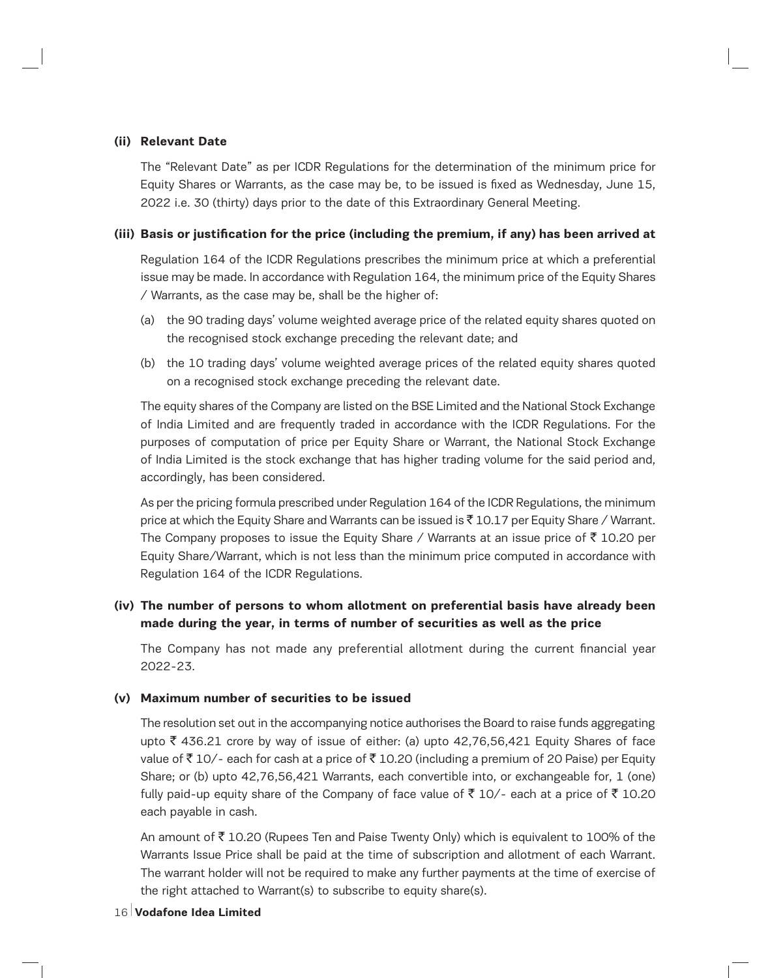## **(ii) Relevant Date**

The "Relevant Date" as per ICDR Regulations for the determination of the minimum price for Equity Shares or Warrants, as the case may be, to be issued is fixed as Wednesday, June 15, 2022 i.e. 30 (thirty) days prior to the date of this Extraordinary General Meeting.

## **(iii) Basis or justification for the price (including the premium, if any) has been arrived at**

Regulation 164 of the ICDR Regulations prescribes the minimum price at which a preferential issue may be made. In accordance with Regulation 164, the minimum price of the Equity Shares / Warrants, as the case may be, shall be the higher of:

- (a) the 90 trading days' volume weighted average price of the related equity shares quoted on the recognised stock exchange preceding the relevant date; and
- (b) the 10 trading days' volume weighted average prices of the related equity shares quoted on a recognised stock exchange preceding the relevant date.

The equity shares of the Company are listed on the BSE Limited and the National Stock Exchange of India Limited and are frequently traded in accordance with the ICDR Regulations. For the purposes of computation of price per Equity Share or Warrant, the National Stock Exchange of India Limited is the stock exchange that has higher trading volume for the said period and, accordingly, has been considered.

As per the pricing formula prescribed under Regulation 164 of the ICDR Regulations, the minimum price at which the Equity Share and Warrants can be issued is  $\bar{\tau}$  10.17 per Equity Share / Warrant. The Company proposes to issue the Equity Share / Warrants at an issue price of  $\bar{\tau}$  10.20 per Equity Share/Warrant, which is not less than the minimum price computed in accordance with Regulation 164 of the ICDR Regulations.

## **(iv) The number of persons to whom allotment on preferential basis have already been made during the year, in terms of number of securities as well as the price**

The Company has not made any preferential allotment during the current financial year 2022-23.

#### **(v) Maximum number of securities to be issued**

The resolution set out in the accompanying notice authorises the Board to raise funds aggregating upto  $\bar{\tau}$  436.21 crore by way of issue of either: (a) upto 42,76,56,421 Equity Shares of face value of  $\overline{\tau}$  10/- each for cash at a price of  $\overline{\tau}$  10.20 (including a premium of 20 Paise) per Equity Share; or (b) upto 42,76,56,421 Warrants, each convertible into, or exchangeable for, 1 (one) fully paid-up equity share of the Company of face value of  $\bar{\tau}$  10/- each at a price of  $\bar{\tau}$  10.20 each payable in cash.

An amount of  $\bar{\tau}$  10.20 (Rupees Ten and Paise Twenty Only) which is equivalent to 100% of the Warrants Issue Price shall be paid at the time of subscription and allotment of each Warrant. The warrant holder will not be required to make any further payments at the time of exercise of the right attached to Warrant(s) to subscribe to equity share(s).

#### 16 **Vodafone Idea Limited**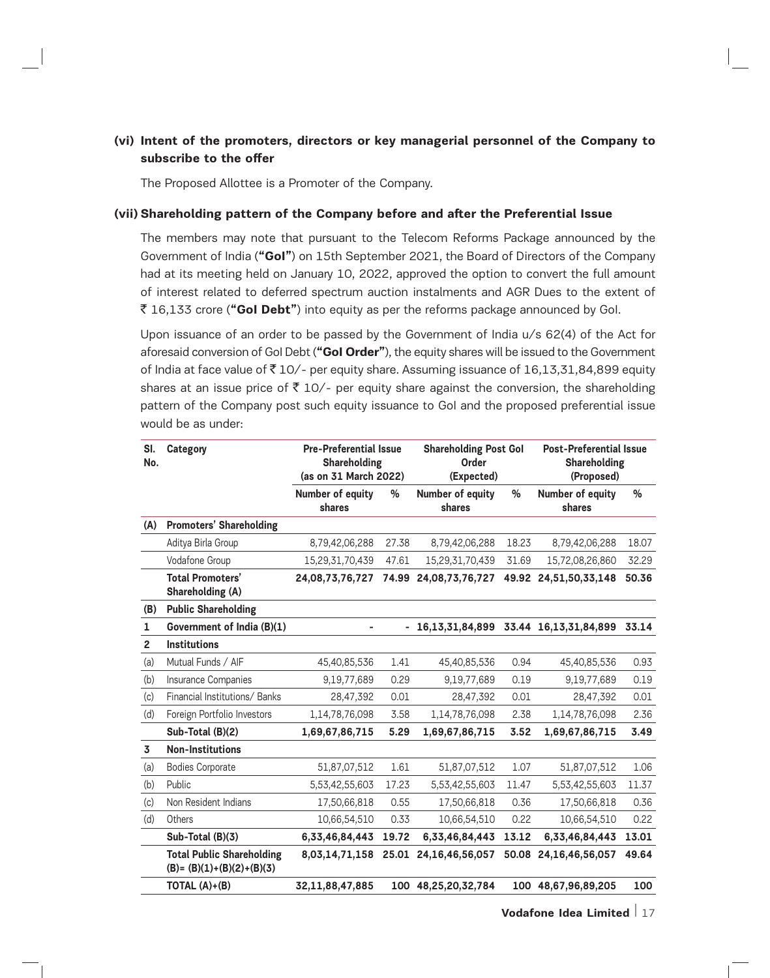## **(vi) Intent of the promoters, directors or key managerial personnel of the Company to subscribe to the offer**

The Proposed Allottee is a Promoter of the Company.

#### **(vii) Shareholding pattern of the Company before and after the Preferential Issue**

The members may note that pursuant to the Telecom Reforms Package announced by the Government of India (**"GoI"**) on 15th September 2021, the Board of Directors of the Company had at its meeting held on January 10, 2022, approved the option to convert the full amount of interest related to deferred spectrum auction instalments and AGR Dues to the extent of ` 16,133 crore (**"GoI Debt"**) into equity as per the reforms package announced by GoI.

Upon issuance of an order to be passed by the Government of India u/s 62(4) of the Act for aforesaid conversion of GoI Debt (**"GoI Order"**), the equity shares will be issued to the Government of India at face value of  $\overline{5}$  10/- per equity share. Assuming issuance of 16,13,31,84,899 equity shares at an issue price of  $\bar{\tau}$  10/- per equity share against the conversion, the shareholding pattern of the Company post such equity issuance to GoI and the proposed preferential issue would be as under:

| SI.<br>No.              | Category                                                         | <b>Pre-Preferential Issue</b><br>Shareholding<br>(as on 31 March 2022) |       | <b>Shareholding Post Gol</b><br>Order<br>(Expected) |       | <b>Post-Preferential Issue</b><br>Shareholding<br>(Proposed) |       |
|-------------------------|------------------------------------------------------------------|------------------------------------------------------------------------|-------|-----------------------------------------------------|-------|--------------------------------------------------------------|-------|
|                         |                                                                  | Number of equity<br>shares                                             | %     | Number of equity<br>shares                          | %     | Number of equity<br>shares                                   | %     |
| (A)                     | <b>Promoters' Shareholding</b>                                   |                                                                        |       |                                                     |       |                                                              |       |
|                         | Aditya Birla Group                                               | 8,79,42,06,288                                                         | 27.38 | 8,79,42,06,288                                      | 18.23 | 8,79,42,06,288                                               | 18.07 |
|                         | Vodafone Group                                                   | 15,29,31,70,439                                                        | 47.61 | 15,29,31,70,439                                     | 31.69 | 15,72,08,26,860                                              | 32.29 |
|                         | <b>Total Promoters'</b><br>Shareholding (A)                      | 24,08,73,76,727                                                        | 74.99 | 24,08,73,76,727                                     |       | 49.92 24,51,50,33,148                                        | 50.36 |
| (B)                     | <b>Public Shareholding</b>                                       |                                                                        |       |                                                     |       |                                                              |       |
| 1                       | Government of India (B)(1)                                       |                                                                        |       | 16,13,31,84,899                                     |       | 33.44 16,13,31,84,899                                        | 33.14 |
| $\overline{2}$          | <b>Institutions</b>                                              |                                                                        |       |                                                     |       |                                                              |       |
| (a)                     | Mutual Funds / AIF                                               | 45,40,85,536                                                           | 1.41  | 45,40,85,536                                        | 0.94  | 45,40,85,536                                                 | 0.93  |
| (b)                     | Insurance Companies                                              | 9,19,77,689                                                            | 0.29  | 9,19,77,689                                         | 0.19  | 9,19,77,689                                                  | 0.19  |
| (c)                     | Financial Institutions/Banks                                     | 28,47,392                                                              | 0.01  | 28,47,392                                           | 0.01  | 28,47,392                                                    | 0.01  |
| (d)                     | Foreign Portfolio Investors                                      | 1,14,78,76,098                                                         | 3.58  | 1,14,78,76,098                                      | 2.38  | 1,14,78,76,098                                               | 2.36  |
|                         | Sub-Total (B)(2)                                                 | 1,69,67,86,715                                                         | 5.29  | 1,69,67,86,715                                      | 3.52  | 1,69,67,86,715                                               | 3.49  |
| $\overline{\mathbf{3}}$ | <b>Non-Institutions</b>                                          |                                                                        |       |                                                     |       |                                                              |       |
| (a)                     | <b>Bodies Corporate</b>                                          | 51,87,07,512                                                           | 1.61  | 51,87,07,512                                        | 1.07  | 51,87,07,512                                                 | 1.06  |
| (b)                     | Public                                                           | 5,53,42,55,603                                                         | 17.23 | 5,53,42,55,603                                      | 11.47 | 5,53,42,55,603                                               | 11.37 |
| (c)                     | Non Resident Indians                                             | 17,50,66,818                                                           | 0.55  | 17,50,66,818                                        | 0.36  | 17,50,66,818                                                 | 0.36  |
| (d)                     | Others                                                           | 10,66,54,510                                                           | 0.33  | 10,66,54,510                                        | 0.22  | 10,66,54,510                                                 | 0.22  |
|                         | Sub-Total (B)(3)                                                 | 6,33,46,84,443                                                         | 19.72 | 6,33,46,84,443                                      | 13.12 | 6,33,46,84,443                                               | 13.01 |
|                         | <b>Total Public Shareholding</b><br>$(B) = (B)(1)+(B)(2)+(B)(3)$ | 8,03,14,71,158                                                         | 25.01 | 24,16,46,56,057                                     | 50.08 | 24,16,46,56,057                                              | 49.64 |
|                         | TOTAL (A)+(B)                                                    | 32,11,88,47,885                                                        |       | 100 48,25,20,32,784                                 |       | 100 48,67,96,89,205                                          | 100   |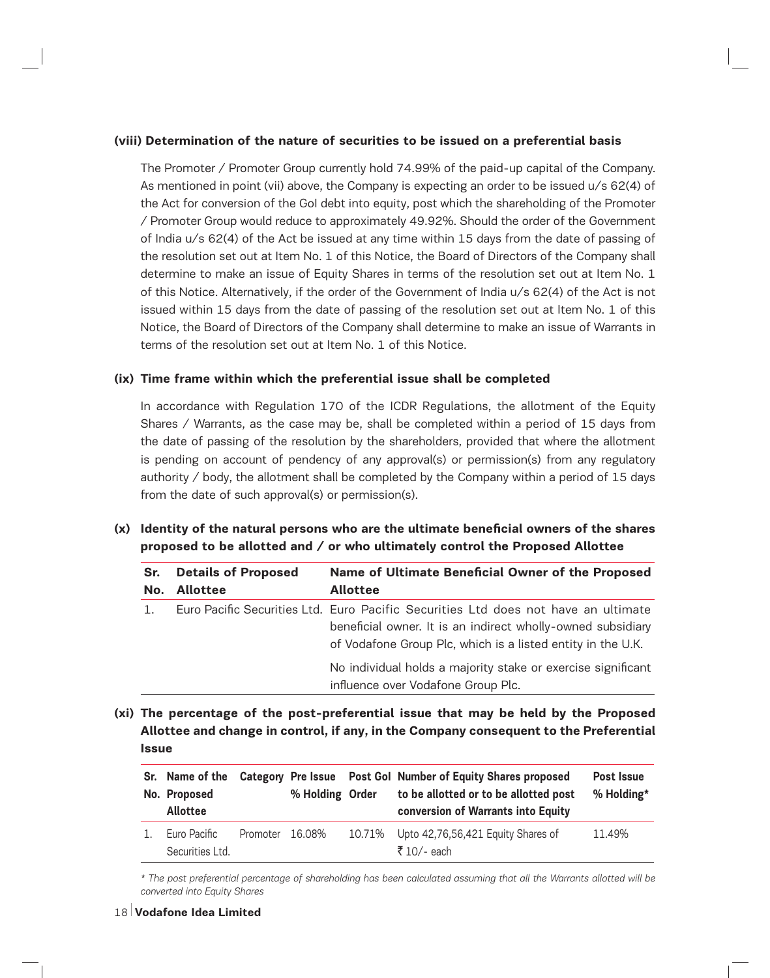## **(viii) Determination of the nature of securities to be issued on a preferential basis**

The Promoter / Promoter Group currently hold 74.99% of the paid-up capital of the Company. As mentioned in point (vii) above, the Company is expecting an order to be issued u/s 62(4) of the Act for conversion of the GoI debt into equity, post which the shareholding of the Promoter / Promoter Group would reduce to approximately 49.92%. Should the order of the Government of India u/s 62(4) of the Act be issued at any time within 15 days from the date of passing of the resolution set out at Item No. 1 of this Notice, the Board of Directors of the Company shall determine to make an issue of Equity Shares in terms of the resolution set out at Item No. 1 of this Notice. Alternatively, if the order of the Government of India u/s 62(4) of the Act is not issued within 15 days from the date of passing of the resolution set out at Item No. 1 of this Notice, the Board of Directors of the Company shall determine to make an issue of Warrants in terms of the resolution set out at Item No. 1 of this Notice.

## **(ix) Time frame within which the preferential issue shall be completed**

In accordance with Regulation 170 of the ICDR Regulations, the allotment of the Equity Shares / Warrants, as the case may be, shall be completed within a period of 15 days from the date of passing of the resolution by the shareholders, provided that where the allotment is pending on account of pendency of any approval(s) or permission(s) from any regulatory authority  $\ell$  body, the allotment shall be completed by the Company within a period of 15 days from the date of such approval(s) or permission(s).

# **(x) Identity of the natural persons who are the ultimate beneficial owners of the shares proposed to be allotted and / or who ultimately control the Proposed Allottee**

| Sr. | Name of Ultimate Beneficial Owner of the Proposed<br><b>Details of Proposed</b> |                                                                                                                                                                                                                  |  |
|-----|---------------------------------------------------------------------------------|------------------------------------------------------------------------------------------------------------------------------------------------------------------------------------------------------------------|--|
| No. | <b>Allottee</b>                                                                 | <b>Allottee</b>                                                                                                                                                                                                  |  |
|     |                                                                                 | Euro Pacific Securities Ltd. Euro Pacific Securities Ltd does not have an ultimate<br>beneficial owner. It is an indirect wholly-owned subsidiary<br>of Vodafone Group Plc, which is a listed entity in the U.K. |  |
|     |                                                                                 | No individual holds a majority stake or exercise significant<br>influence over Vodafone Group Plc.                                                                                                               |  |

**(xi) The percentage of the post-preferential issue that may be held by the Proposed Allottee and change in control, if any, in the Company consequent to the Preferential Issue**

|         | Sr. Name of the<br>No. Proposed<br><b>Allottee</b> |                 | % Holding Order |        | Category Pre Issue  Post Gol Number of Equity Shares proposed<br>to be allotted or to be allotted post<br>conversion of Warrants into Equity | Post Issue<br>% Holding* |
|---------|----------------------------------------------------|-----------------|-----------------|--------|----------------------------------------------------------------------------------------------------------------------------------------------|--------------------------|
| $1_{-}$ | Euro Pacific<br>Securities Ltd.                    | Promoter 16.08% |                 | 10.71% | Upto 42,76,56,421 Equity Shares of<br>₹ 10/- each                                                                                            | 11.49%                   |

*\* The post preferential percentage of shareholding has been calculated assuming that all the Warrants allotted will be converted into Equity Shares*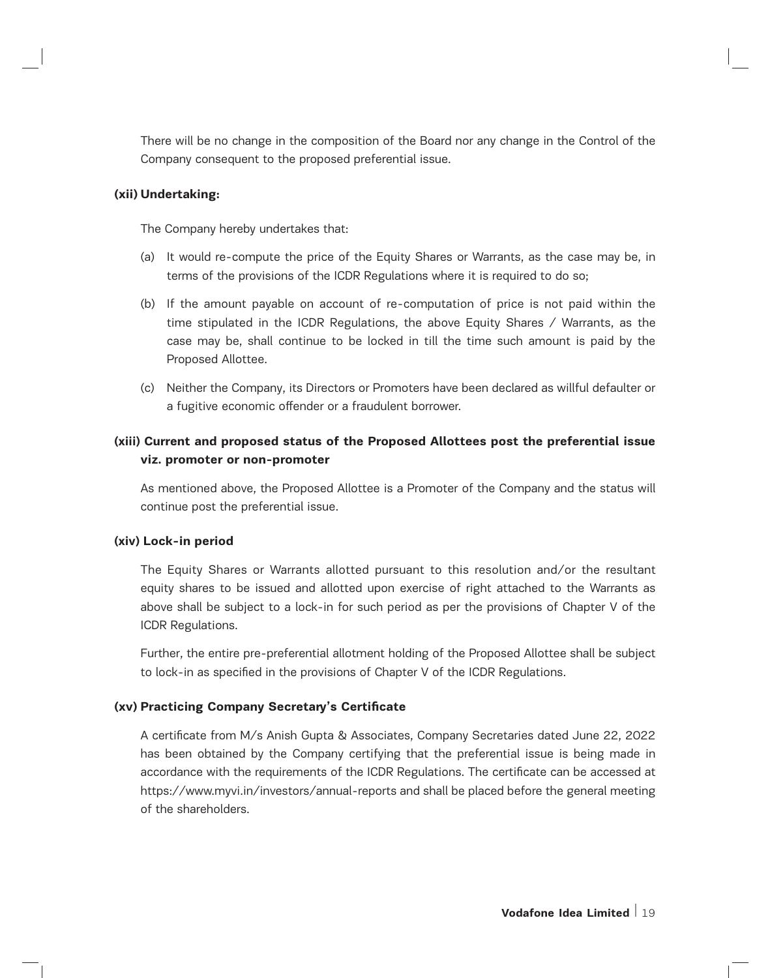There will be no change in the composition of the Board nor any change in the Control of the Company consequent to the proposed preferential issue.

#### **(xii) Undertaking:**

The Company hereby undertakes that:

- (a) It would re-compute the price of the Equity Shares or Warrants, as the case may be, in terms of the provisions of the ICDR Regulations where it is required to do so;
- (b) If the amount payable on account of re-computation of price is not paid within the time stipulated in the ICDR Regulations, the above Equity Shares / Warrants, as the case may be, shall continue to be locked in till the time such amount is paid by the Proposed Allottee.
- (c) Neither the Company, its Directors or Promoters have been declared as willful defaulter or a fugitive economic offender or a fraudulent borrower.

# **(xiii) Current and proposed status of the Proposed Allottees post the preferential issue viz. promoter or non-promoter**

As mentioned above, the Proposed Allottee is a Promoter of the Company and the status will continue post the preferential issue.

#### **(xiv) Lock-in period**

The Equity Shares or Warrants allotted pursuant to this resolution and/or the resultant equity shares to be issued and allotted upon exercise of right attached to the Warrants as above shall be subject to a lock-in for such period as per the provisions of Chapter V of the ICDR Regulations.

Further, the entire pre-preferential allotment holding of the Proposed Allottee shall be subject to lock-in as specified in the provisions of Chapter V of the ICDR Regulations.

#### **(xv) Practicing Company Secretary's Certificate**

A certificate from M/s Anish Gupta & Associates, Company Secretaries dated June 22, 2022 has been obtained by the Company certifying that the preferential issue is being made in accordance with the requirements of the ICDR Regulations. The certificate can be accessed at https://www.myvi.in/investors/annual-reports and shall be placed before the general meeting of the shareholders.